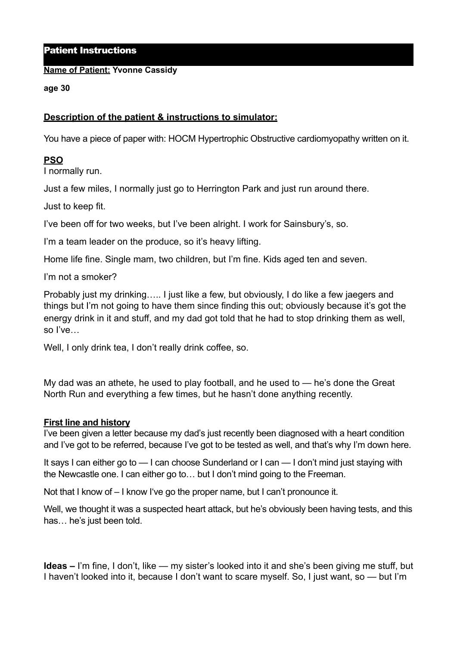### Patient Instructions

#### **Name of Patient: Yvonne Cassidy**

#### **age 30**

# **Description of the patient & instructions to simulator:**

You have a piece of paper with: HOCM Hypertrophic Obstructive cardiomyopathy written on it.

# **PSO**

I normally run.

Just a few miles, I normally just go to Herrington Park and just run around there.

Just to keep fit.

I've been off for two weeks, but I've been alright. I work for Sainsbury's, so.

I'm a team leader on the produce, so it's heavy lifting.

Home life fine. Single mam, two children, but I'm fine. Kids aged ten and seven.

I'm not a smoker?

Probably just my drinking….. I just like a few, but obviously, I do like a few jaegers and things but I'm not going to have them since finding this out; obviously because it's got the energy drink in it and stuff, and my dad got told that he had to stop drinking them as well, so I've…

Well, I only drink tea, I don't really drink coffee, so.

My dad was an athete, he used to play football, and he used to — he's done the Great North Run and everything a few times, but he hasn't done anything recently.

#### **First line and history**

I've been given a letter because my dad's just recently been diagnosed with a heart condition and I've got to be referred, because I've got to be tested as well, and that's why I'm down here.

It says I can either go to — I can choose Sunderland or I can — I don't mind just staying with the Newcastle one. I can either go to… but I don't mind going to the Freeman.

Not that I know of – I know I've go the proper name, but I can't pronounce it.

Well, we thought it was a suspected heart attack, but he's obviously been having tests, and this has… he's just been told.

**Ideas –** I'm fine, I don't, like — my sister's looked into it and she's been giving me stuff, but I haven't looked into it, because I don't want to scare myself. So, I just want, so — but I'm